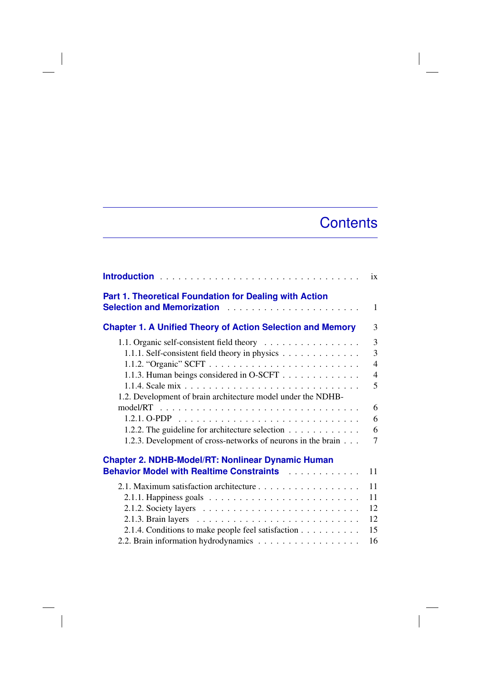## **Contents**

 $\overline{\phantom{a}}$ 

|                                                                                                                                                                                                                                                                                                                            | ix                                                     |
|----------------------------------------------------------------------------------------------------------------------------------------------------------------------------------------------------------------------------------------------------------------------------------------------------------------------------|--------------------------------------------------------|
| Part 1. Theoretical Foundation for Dealing with Action<br><b>Selection and Memorization</b>                                                                                                                                                                                                                                | $\mathbf{1}$                                           |
| <b>Chapter 1. A Unified Theory of Action Selection and Memory</b>                                                                                                                                                                                                                                                          | 3                                                      |
| 1.1. Organic self-consistent field theory<br>1.1.1. Self-consistent field theory in physics<br>1.1.3. Human beings considered in O-SCFT<br>1.2. Development of brain architecture model under the NDHB-<br>1.2.2. The guideline for architecture selection<br>1.2.3. Development of cross-networks of neurons in the brain | 3<br>3<br>$\overline{4}$<br>4<br>5<br>6<br>6<br>6<br>7 |
| <b>Chapter 2. NDHB-Model/RT: Nonlinear Dynamic Human</b><br><b>Behavior Model with Realtime Constraints Manual Lines And School</b>                                                                                                                                                                                        | 11                                                     |
| 2.1.1. Happiness goals $\ldots \ldots \ldots \ldots \ldots \ldots \ldots \ldots$<br>2.1.4. Conditions to make people feel satisfaction                                                                                                                                                                                     | 11<br>11<br>12<br>12<br>15<br>16                       |

 $\overline{\phantom{a}}$ 

 $\overline{\phantom{a}}$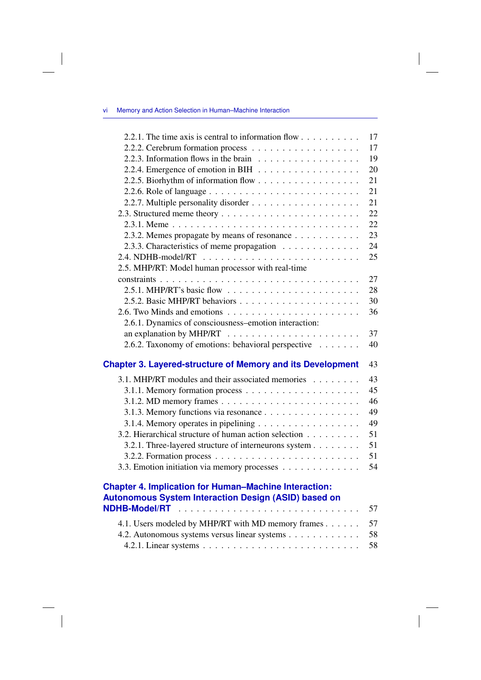## vi Memory and Action Selection in Human–Machine Interaction

 $\overline{\phantom{a}}$ 

| 2.2.1. The time axis is central to information flow                                                                                                                               |    |
|-----------------------------------------------------------------------------------------------------------------------------------------------------------------------------------|----|
|                                                                                                                                                                                   | 17 |
|                                                                                                                                                                                   | 17 |
| 2.2.3. Information flows in the brain $\ldots \ldots \ldots \ldots \ldots$                                                                                                        | 19 |
| 2.2.4. Emergence of emotion in BIH $\ldots \ldots \ldots \ldots \ldots$                                                                                                           | 20 |
| 2.2.5. Biorhythm of information flow                                                                                                                                              | 21 |
|                                                                                                                                                                                   | 21 |
|                                                                                                                                                                                   | 21 |
|                                                                                                                                                                                   | 22 |
|                                                                                                                                                                                   | 22 |
| 2.3.2. Memes propagate by means of resonance                                                                                                                                      | 23 |
| 2.3.3. Characteristics of meme propagation                                                                                                                                        | 24 |
|                                                                                                                                                                                   | 25 |
| 2.5. MHP/RT: Model human processor with real-time                                                                                                                                 |    |
|                                                                                                                                                                                   | 27 |
|                                                                                                                                                                                   | 28 |
|                                                                                                                                                                                   | 30 |
|                                                                                                                                                                                   | 36 |
| 2.6.1. Dynamics of consciousness-emotion interaction:                                                                                                                             |    |
|                                                                                                                                                                                   | 37 |
| 2.6.2. Taxonomy of emotions: behavioral perspective                                                                                                                               | 40 |
|                                                                                                                                                                                   |    |
|                                                                                                                                                                                   | 43 |
|                                                                                                                                                                                   | 43 |
| 3.1. MHP/RT modules and their associated memories                                                                                                                                 | 45 |
|                                                                                                                                                                                   | 46 |
| <b>Chapter 3. Layered-structure of Memory and its Development</b>                                                                                                                 | 49 |
| 3.1.3. Memory functions via resonance                                                                                                                                             | 49 |
| 3.1.4. Memory operates in pipelining                                                                                                                                              | 51 |
| 3.2. Hierarchical structure of human action selection                                                                                                                             | 51 |
| 3.2.1. Three-layered structure of interneurons system                                                                                                                             | 51 |
| 3.3. Emotion initiation via memory processes                                                                                                                                      | 54 |
|                                                                                                                                                                                   |    |
|                                                                                                                                                                                   |    |
|                                                                                                                                                                                   | 57 |
| <b>Chapter 4. Implication for Human-Machine Interaction:</b><br><b>Autonomous System Interaction Design (ASID) based on</b><br>4.1. Users modeled by MHP/RT with MD memory frames | 57 |
| 4.2. Autonomous systems versus linear systems                                                                                                                                     | 58 |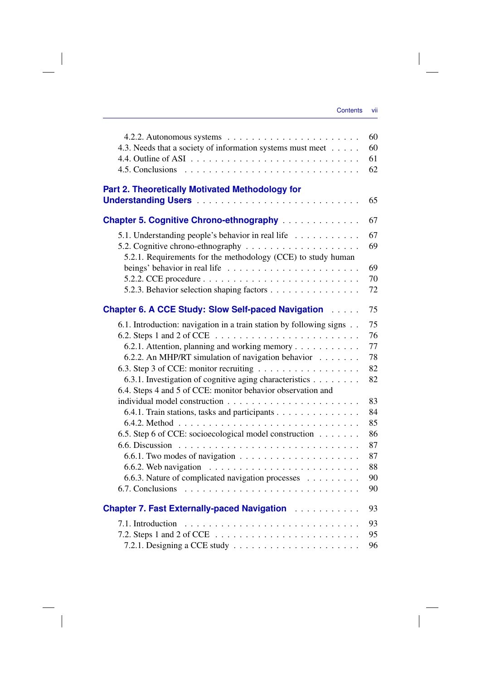$\overline{\phantom{a}}$ 

|                                                                                  | 60 |
|----------------------------------------------------------------------------------|----|
| 4.3. Needs that a society of information systems must meet                       | 60 |
|                                                                                  | 61 |
|                                                                                  | 62 |
| <b>Part 2. Theoretically Motivated Methodology for</b>                           |    |
|                                                                                  | 65 |
| <b>Chapter 5. Cognitive Chrono-ethnography</b>                                   | 67 |
| 5.1. Understanding people's behavior in real life                                | 67 |
|                                                                                  | 69 |
| 5.2.1. Requirements for the methodology (CCE) to study human                     |    |
| beings' behavior in real life $\ldots \ldots \ldots \ldots \ldots \ldots \ldots$ | 69 |
|                                                                                  | 70 |
| 5.2.3. Behavior selection shaping factors                                        | 72 |
| Chapter 6. A CCE Study: Slow Self-paced Navigation                               | 75 |
| 6.1. Introduction: navigation in a train station by following signs              | 75 |
| 6.2. Steps 1 and 2 of CCE $\ldots \ldots \ldots \ldots \ldots \ldots \ldots$     | 76 |
| 6.2.1. Attention, planning and working memory                                    | 77 |
| 6.2.2. An MHP/RT simulation of navigation behavior                               | 78 |
|                                                                                  | 82 |
| 6.3.1. Investigation of cognitive aging characteristics                          | 82 |
| 6.4. Steps 4 and 5 of CCE: monitor behavior observation and                      |    |
|                                                                                  | 83 |
| 6.4.1. Train stations, tasks and participants                                    | 84 |
|                                                                                  | 85 |
| 6.5. Step 6 of CCE: socioecological model construction                           | 86 |
|                                                                                  | 87 |
|                                                                                  | 87 |
| 6.6.2. Web navigation $\ldots \ldots \ldots \ldots \ldots \ldots \ldots \ldots$  | 88 |
| 6.6.3. Nature of complicated navigation processes                                | 90 |
|                                                                                  | 90 |
| <b>Chapter 7. Fast Externally-paced Navigation Administration</b>                | 93 |
|                                                                                  | 93 |
| 7.2. Steps 1 and 2 of CCE $\ldots \ldots \ldots \ldots \ldots \ldots \ldots$     | 95 |
|                                                                                  | 96 |

 $\overline{\phantom{a}}$ 

 $\begin{array}{c} \hline \end{array}$